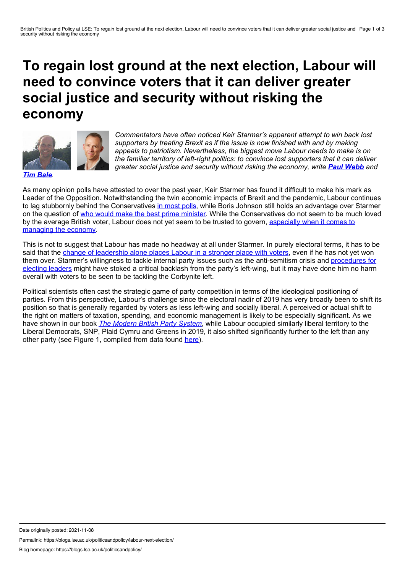## <span id="page-0-0"></span>**To regain lost ground at the next election, Labour will need to convince voters that it can deliver greater social justice and security without risking the economy**



*Commentators have often noticed Keir Starmer's apparent attempt to win back lost supporters by treating Brexit as if the issue is now finished with and by making appeals to patriotism. Nevertheless, the biggest move Labour needs to make is on the familiar territory of left-right politics: to convince lost supporters that it can deliver greater social justice and security without risking the economy, write Paul [Webb](#page-0-0) and*

*Tim [Bale](#page-0-0).*

As many opinion polls have attested to over the past year, Keir Starmer has found it difficult to make his mark as Leader of the Opposition. Notwithstanding the twin economic impacts of Brexit and the pandemic, Labour continues to lag stubbornly behind the Conservatives in [most](https://www2.politicalbetting.com/index.php/archives/2021/11/02/octobers-polling-sees-very-little-change-in-the-big-picture/?utm_source=Polling+UnPacked&utm_campaign=68d22bca46-MAILCHIMP&utm_medium=email&utm_term=0_494ca252da-68d22bca46-312797833&goal=0_494ca252da-68d22bca46-312797833) polls, while Boris Johnson still holds an advantage over Starmer on the question of who would make the best prime [minister](https://www.statista.com/statistics/710316/prime-minister-voting-intention-in-great-britain/). While the Conservatives do not seem to be much loved by the average British voter, Labour does not yet seem to be trusted to govern, [especially](https://yougov.co.uk/topics/politics/trackers/which-political-party-would-be-the-best-at-handling-the-economy) when it comes to managing the economy.

This is not to suggest that Labour has made no headway at all under Starmer. In purely electoral terms, it has to be said that the change of [leadership](https://docs.cdn.yougov.com/32r6m6epcz/Main_FavourabilityTracker_W.pdf) alone places Labour in a stronger place with voters, even if he has not yet won them over. Starmer's willingness to tackle internal party issues such as the [anti-semitism](https://ukandeu.ac.uk/from-members-to-leaders-in-labour/) crisis and procedures for electing leaders might have stoked a critical backlash from the party's left-wing, but it may have done him no harm overall with voters to be seen to be tackling the Corbynite left.

Political scientists often cast the strategic game of party competition in terms of the ideological positioning of parties. From this perspective, Labour's challenge since the electoral nadir of 2019 has very broadly been to shift its position so that is generally regarded by voters as less left-wing and socially liberal. A perceived or actual shift to the right on matters of taxation, spending, and economic management is likely to be especially significant. As we have shown in our book *The [Modern](https://global.oup.com/academic/product/the-modern-british-party-system-9780199217243?cc=gb&lang=en&) British Party System*, while Labour occupied similarly liberal territory to the Liberal Democrats, SNP, Plaid Cymru and Greens in 2019, it also shifted significantly further to the left than any other party (see Figure 1, compiled from data found [here](https://manifesto-project.wzb.eu/)).

Date originally posted: 2021-11-08

Permalink: https://blogs.lse.ac.uk/politicsandpolicy/labour-next-election/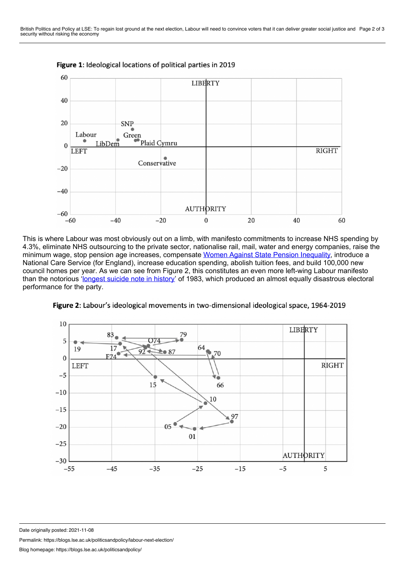

Figure 1: Ideological locations of political parties in 2019

This is where Labour was most obviously out on a limb, with manifesto commitments to increase NHS spending by 4.3%, eliminate NHS outsourcing to the private sector, nationalise rail, mail, water and energy companies, raise the minimum wage, stop pension age increases, compensate Women Against State Pension [Inequality,](https://www.waspi.co.uk/about-us-2/) introduce a National Care Service (for England), increase education spending, abolish tuition fees, and build 100,000 new council homes per year. As we can see from Figure 2, this constitutes an even more left-wing Labour manifesto than the notorious ['longest](https://www.oxfordreference.com/view/10.1093/acref/9780199916108.001.0001/acref-9780199916108-e-4889) suicide note in history' of 1983, which produced an almost equally disastrous electoral performance for the party.



Figure 2: Labour's ideological movements in two-dimensional ideological space, 1964-2019

Date originally posted: 2021-11-08

Permalink: https://blogs.lse.ac.uk/politicsandpolicy/labour-next-election/

Blog homepage: https://blogs.lse.ac.uk/politicsandpolicy/